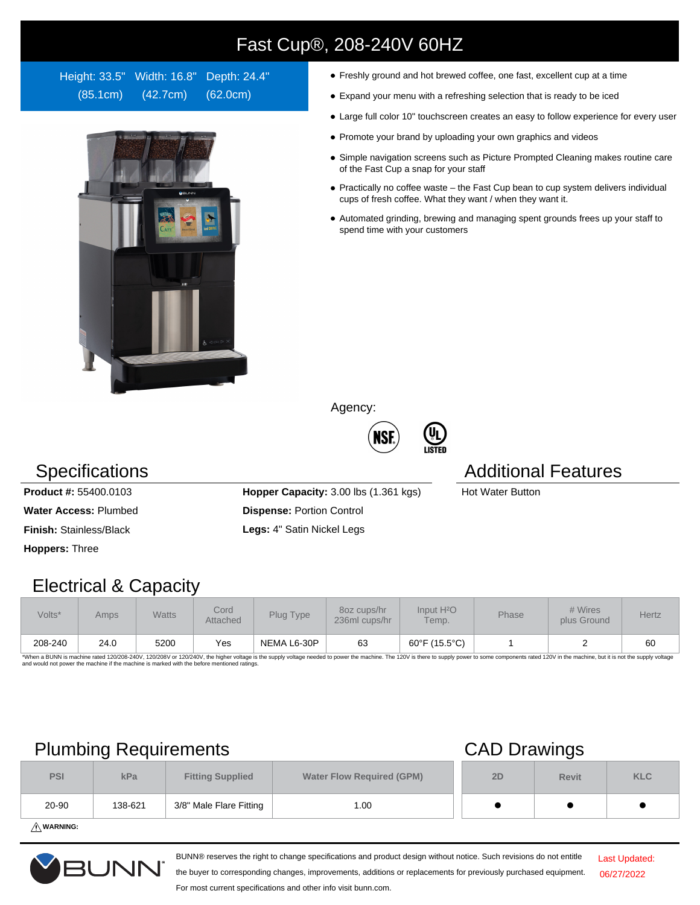# Fast Cup®, 208-240V 60HZ

Height: 33.5" Width: 16.8" Depth: 24.4" (85.1cm) (42.7cm) (62.0cm)



- Freshly ground and hot brewed coffee, one fast, excellent cup at a time
- Expand your menu with a refreshing selection that is ready to be iced
- Large full color 10" touchscreen creates an easy to follow experience for every user
- Promote your brand by uploading your own graphics and videos
- Simple navigation screens such as Picture Prompted Cleaning makes routine care of the Fast Cup a snap for your staff
- Practically no coffee waste the Fast Cup bean to cup system delivers individual cups of fresh coffee. What they want / when they want it.
- Automated grinding, brewing and managing spent grounds frees up your staff to spend time with your customers

Agency:



**(U<sub>L</sub>)**<br>Listed

## Specifications **Additional Features** Additional Features

**Hoppers:** Three

**Product #:** 55400.0103 **Hopper Capacity:** 3.00 lbs (1.361 kgs) Hot Water Button **Water Access:** Plumbed **Dispense:** Portion Control **Finish:** Stainless/Black **Legs:** 4" Satin Nickel Legs

### Electrical & Capacity

| Volts*  | Amps | <b>Watts</b> | Cord<br><b>Attached</b> | Plug Type   | 80z cups/hr<br>236ml cups/hr | Input H <sup>2</sup> O<br>Temp. | <b>Phase</b> | # Wires<br>plus Ground | Hertz |
|---------|------|--------------|-------------------------|-------------|------------------------------|---------------------------------|--------------|------------------------|-------|
| 208-240 | 24.0 | 5200         | Yes                     | NEMA L6-30P | 63                           | 60°F (15.5°C)                   |              |                        | 60    |

\*When a BUNN is machine rated 120/208-240V, 120/208V or 120/240V, the higher voltage is the supply voltage needed to power the machine. The 120V is there to supply power to some components rated 120V in the machine, but it

## Plumbing Requirements CAD Drawings

| <b>PSI</b> | kPa     | <b>Fitting Supplied</b> | <b>Water Flow Required (GPM)</b> | 2D | <b>Revit</b> | <b>KLC</b> |
|------------|---------|-------------------------|----------------------------------|----|--------------|------------|
| 20-90      | 138-621 | 3/8" Male Flare Fitting | 1.00                             |    |              |            |

**WARNING:**



BUNN® reserves the right to change specifications and product design without notice. Such revisions do not entitle

Last Updated: 06/27/2022

the buyer to corresponding changes, improvements, additions or replacements for previously purchased equipment. For most current specifications and other info visit bunn.com.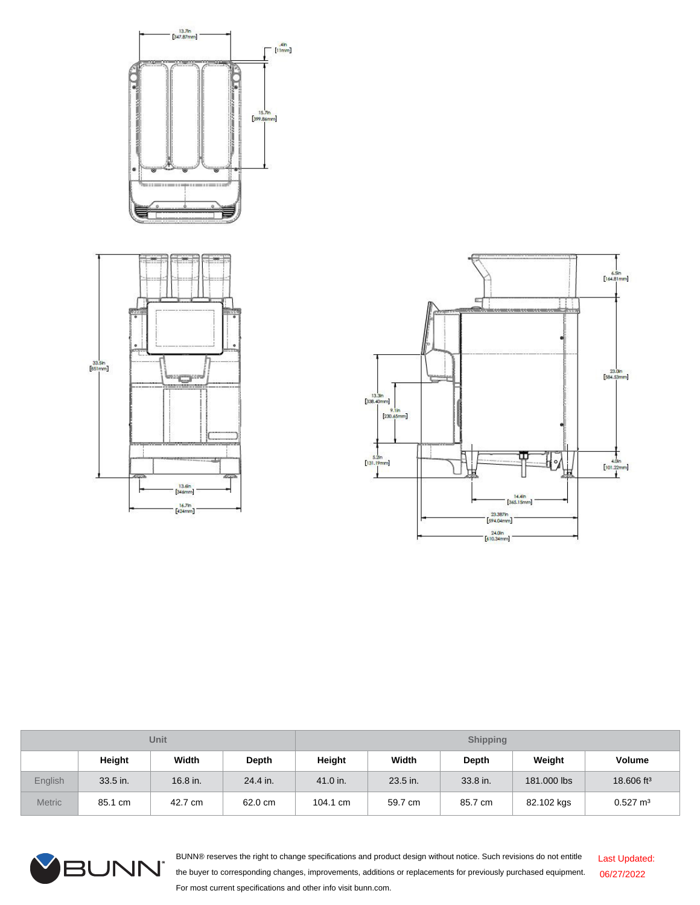



| Unit          |          |          |          | <b>Shipping</b> |          |          |             |                        |  |
|---------------|----------|----------|----------|-----------------|----------|----------|-------------|------------------------|--|
|               | Height   | Width    | Depth    | Height          | Width    | Depth    | Weight      | <b>Volume</b>          |  |
| English       | 33.5 in. | 16.8 in. | 24.4 in. | 41.0 in.        | 23.5 in. | 33.8 in. | 181.000 lbs | 18.606 ft <sup>3</sup> |  |
| <b>Metric</b> | 85.1 cm  | 42.7 cm  | 62.0 cm  | 104.1 cm        | 59.7 cm  | 85.7 cm  | 82.102 kgs  | $0.527 \text{ m}^3$    |  |



BUNN® reserves the right to change specifications and product design without notice. Such revisions do not entitle the buyer to corresponding changes, improvements, additions or replacements for previously purchased equipment. For most current specifications and other info visit bunn.com. Last Updated: 06/27/2022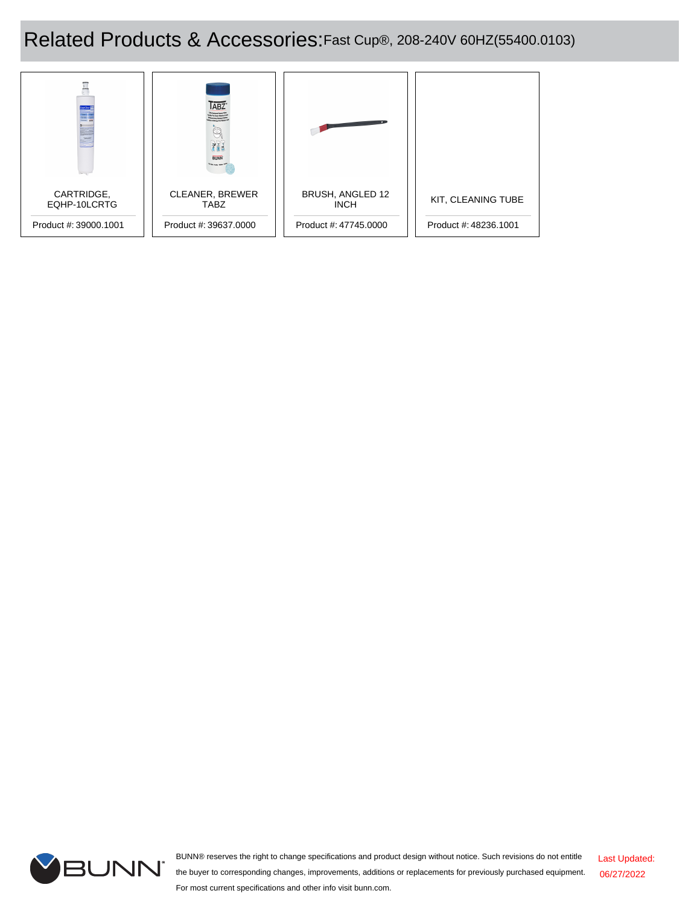# Related Products & Accessories:Fast Cup®, 208-240V 60HZ(55400.0103)